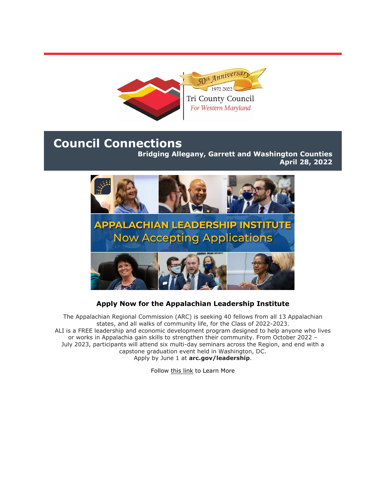

# **Council Connections**

**Bridging Allegany, Garrett and Washington Counties April 28, 2022**



## **Apply Now for the Appalachian Leadership Institute**

The Appalachian Regional Commission (ARC) is seeking 40 fellows from all 13 Appalachian states, and all walks of community life, for the Class of 2022-2023. ALI is a FREE leadership and economic development program designed to help anyone who lives or works in Appalachia gain skills to strengthen their community. From October 2022 – July 2023, participants will attend six multi-day seminars across the Region, and end with a capstone graduation event held in Washington, DC. Apply by June 1 at **[arc.gov/leadership](https://r20.rs6.net/tn.jsp?f=001wv7Wb2c9D-meFK5BmzGFz-sR7jhEOJQp9wP7limsjgg39LGtSmCXq-elh5M3FWlL4fAwItkR_6iGVUXYoJ7e1pMKyeozbu94PgsZLqrXelZ11GWxiSUti5AjLwNbeNlq8TPLHWbl89Jq4uqjtSHc4FJ66Hq5NzQT&c=KGIXpewnO9E0GA--O1lxyF_ut1ll9LJz3PA8-9Ws2OW31adnhFQlDw==&ch=D7joyI0I_lFsevENByqlNKnfR20ut0uo12OOcEeHDeGQ1CAuntHcoQ==)**.

Follow [this link](https://r20.rs6.net/tn.jsp?f=001wv7Wb2c9D-meFK5BmzGFz-sR7jhEOJQp9wP7limsjgg39LGtSmCXq-elh5M3FWlL4fAwItkR_6iGVUXYoJ7e1pMKyeozbu94PgsZLqrXelZ11GWxiSUti5AjLwNbeNlq8TPLHWbl89Jq4uqjtSHc4FJ66Hq5NzQT&c=KGIXpewnO9E0GA--O1lxyF_ut1ll9LJz3PA8-9Ws2OW31adnhFQlDw==&ch=D7joyI0I_lFsevENByqlNKnfR20ut0uo12OOcEeHDeGQ1CAuntHcoQ==) to Learn More